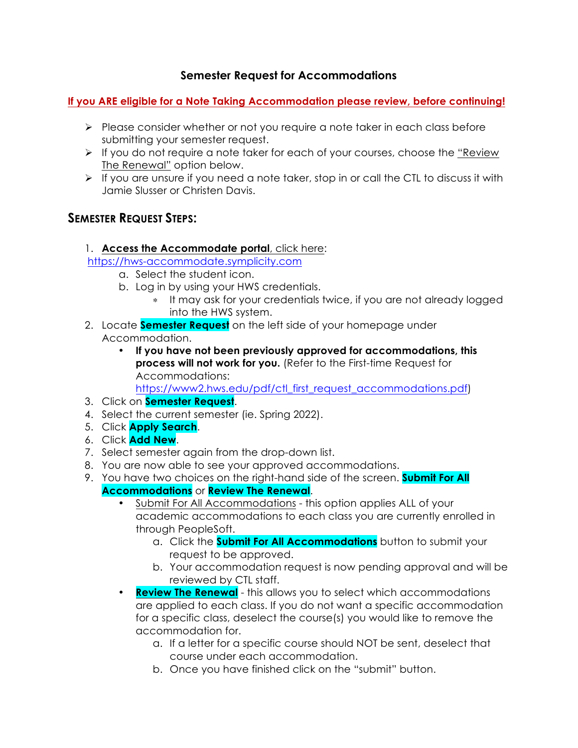#### **Semester Request for Accommodations**

**If you ARE eligible for a Note Taking Accommodation please review, before continuing!**

- $\triangleright$  Please consider whether or not you require a note taker in each class before submitting your semester request.
- $\triangleright$  If you do not require a note taker for each of your courses, choose the "Review" The Renewal" option below.
- $\triangleright$  If you are unsure if you need a note taker, stop in or call the CTL to discuss it with Jamie Slusser or Christen Davis.

### **SEMESTER REQUEST STEPS:**

1. **Access the Accommodate portal**, click here:

https://hws-accommodate.symplicity.com

- a. Select the student icon.
	- b. Log in by using your HWS credentials.
		- ∗ It may ask for your credentials twice, if you are not already logged into the HWS system.
- 2. Locate **Semester Request** on the left side of your homepage under Accommodation.
	- **If you have not been previously approved for accommodations, this process will not work for you.** (Refer to the First-time Request for Accommodations:

https://www2.hws.edu/pdf/ctl\_first\_request\_accommodations.pdf)

- 3. Click on **Semester Request**.
- 4. Select the current semester (ie. Spring 2022).
- 5. Click **Apply Search**.
- 6. Click **Add New**.
- 7. Select semester again from the drop-down list.
- 8. You are now able to see your approved accommodations.
- 9. You have two choices on the right-hand side of the screen. **Submit For All Accommodations** or **Review The Renewal**.
	- Submit For All Accommodations this option applies ALL of your academic accommodations to each class you are currently enrolled in through PeopleSoft.
		- a. Click the **Submit For All Accommodations** button to submit your request to be approved.
		- b. Your accommodation request is now pending approval and will be reviewed by CTL staff.
	- **Review The Renewal** this allows you to select which accommodations are applied to each class. If you do not want a specific accommodation for a specific class, deselect the course(s) you would like to remove the accommodation for.
		- a. If a letter for a specific course should NOT be sent, deselect that course under each accommodation.
		- b. Once you have finished click on the "submit" button.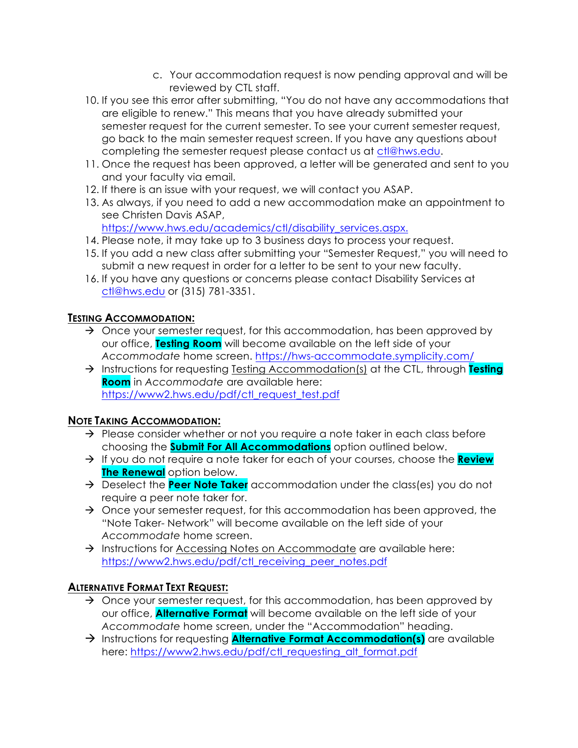- c. Your accommodation request is now pending approval and will be reviewed by CTL staff.
- 10. If you see this error after submitting, "You do not have any accommodations that are eligible to renew." This means that you have already submitted your semester request for the current semester. To see your current semester request, go back to the main semester request screen. If you have any questions about completing the semester request please contact us at ctl@hws.edu.
- 11. Once the request has been approved, a letter will be generated and sent to you and your faculty via email.
- 12. If there is an issue with your request, we will contact you ASAP.
- 13. As always, if you need to add a new accommodation make an appointment to see Christen Davis ASAP,

https://www.hws.edu/academics/ctl/disability\_services.aspx.

- 14. Please note, it may take up to 3 business days to process your request.
- 15. If you add a new class after submitting your "Semester Request," you will need to submit a new request in order for a letter to be sent to your new faculty.
- 16. If you have any questions or concerns please contact Disability Services at ctl@hws.edu or (315) 781-3351.

#### **TESTING ACCOMMODATION:**

- $\rightarrow$  Once your semester request, for this accommodation, has been approved by our office, **Testing Room** will become available on the left side of your *Accommodate* home screen. https://hws-accommodate.symplicity.com/
- à Instructions for requesting Testing Accommodation(s) at the CTL, through **Testing Room** in *Accommodate* are available here: https://www2.hws.edu/pdf/ctl\_request\_test.pdf

## **NOTE TAKING ACCOMMODATION:**

- $\rightarrow$  Please consider whether or not you require a note taker in each class before choosing the **Submit For All Accommodations** option outlined below.
- $\rightarrow$  If you do not require a note taker for each of your courses, choose the **Review The Renewal** option below.
- $\rightarrow$  Deselect the **Peer Note Taker** accommodation under the class(es) you do not require a peer note taker for.
- $\rightarrow$  Once your semester request, for this accommodation has been approved, the "Note Taker- Network" will become available on the left side of your *Accommodate* home screen.
- $\rightarrow$  Instructions for Accessing Notes on Accommodate are available here: https://www2.hws.edu/pdf/ctl\_receiving\_peer\_notes.pdf

## **ALTERNATIVE FORMAT TEXT REQUEST:**

- $\rightarrow$  Once your semester request, for this accommodation, has been approved by our office, **Alternative Format** will become available on the left side of your *Accommodate* home screen, under the "Accommodation" heading.
- $\rightarrow$  Instructions for requesting **Alternative Format Accommodation(s)** are available here: https://www2.hws.edu/pdf/ctl\_requesting\_alt\_format.pdf